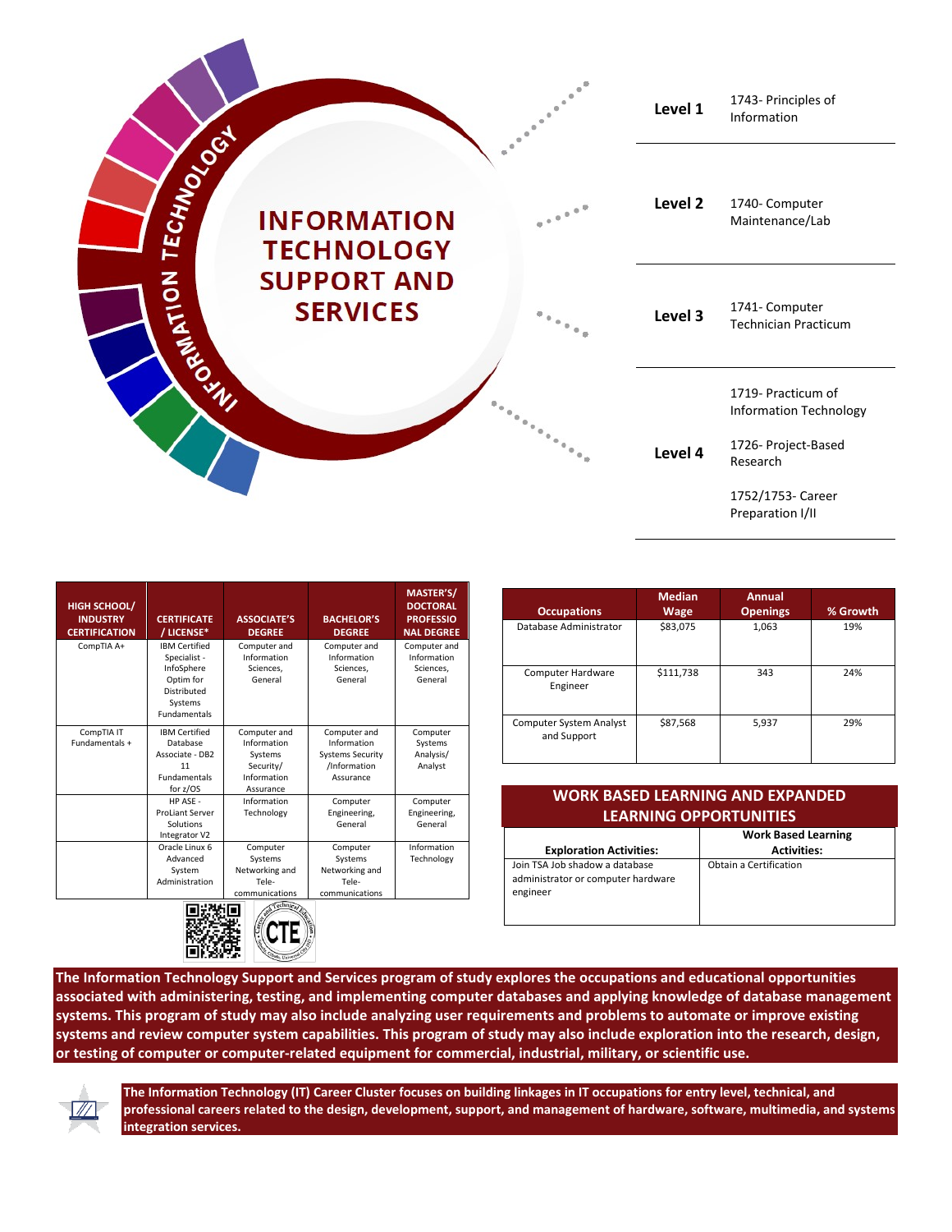|            |                                         |                                                  | Level 1 | 1743- Principles of<br>Information                                         |
|------------|-----------------------------------------|--------------------------------------------------|---------|----------------------------------------------------------------------------|
| TECHNOLOGY | <b>INFORMATION</b><br><b>TECHNOLOGY</b> | $e^{\pm \frac{\pi}{2} \cdot \frac{2\pi}{\hbar}}$ | Level 2 | 1740- Computer<br>Maintenance/Lab                                          |
| NOUNAWAGE  | <b>SUPPORT AND</b><br><b>SERVICES</b>   |                                                  | Level 3 | 1741- Computer<br><b>Technician Practicum</b>                              |
|            |                                         |                                                  | Level 4 | 1719- Practicum of<br><b>Information Technology</b><br>1726- Project-Based |
|            |                                         |                                                  |         | Research<br>1752/1753- Career<br>Preparation I/II                          |

| <b>HIGH SCHOOL/</b><br><b>INDUSTRY</b><br><b>CERTIFICATION</b> | <b>CERTIFICATE</b><br>/ LICENSE*                                                                                        | <b>ASSOCIATE'S</b><br><b>DEGREE</b>                                               | <b>BACHELOR'S</b><br><b>DEGREE</b>                                                  | MASTER'S/<br><b>DOCTORAL</b><br><b>PROFESSIO</b><br><b>NAL DEGREE</b> |
|----------------------------------------------------------------|-------------------------------------------------------------------------------------------------------------------------|-----------------------------------------------------------------------------------|-------------------------------------------------------------------------------------|-----------------------------------------------------------------------|
| CompTIA A+                                                     | <b>IBM Certified</b><br>Specialist -<br>InfoSphere<br>Optim for<br><b>Distributed</b><br>Systems<br><b>Fundamentals</b> | Computer and<br>Information<br>Sciences,<br>General                               | Computer and<br>Information<br>Sciences,<br>General                                 | Computer and<br>Information<br>Sciences,<br>General                   |
| CompTIA IT<br>Fundamentals +                                   | <b>IBM Certified</b><br>Database<br>Associate - DB2<br>11<br><b>Fundamentals</b><br>for z/OS                            | Computer and<br>Information<br>Systems<br>Security/<br>Information<br>Assurance   | Computer and<br>Information<br><b>Systems Security</b><br>/Information<br>Assurance | Computer<br>Systems<br>Analysis/<br>Analyst                           |
|                                                                | HP ASE -<br><b>ProLiant Server</b><br>Solutions<br>Integrator V2                                                        | Information<br>Technology                                                         | Computer<br>Engineering,<br>General                                                 | Computer<br>Engineering,<br>General                                   |
|                                                                | Oracle Linux 6<br>Advanced<br>System<br>Administration                                                                  | Computer<br>Systems<br>Networking and<br>Tele-<br>communications<br>Technical Eq. | Computer<br>Systems<br>Networking and<br>Tele-<br>communications                    | Information<br>Technology                                             |

 $\left(\mathbb{C} \text{TE}\right)$ 

際

| <b>Occupations</b>                     | Wage      | <b>Openings</b> | % Growth |
|----------------------------------------|-----------|-----------------|----------|
| Database Administrator                 | \$83,075  | 1,063           | 19%      |
| Computer Hardware<br>Engineer          | \$111,738 | 343             | 24%      |
| Computer System Analyst<br>and Support | \$87,568  | 5,937           | 29%      |

**Annual** 

**Median** 

| <b>WORK BASED LEARNING AND EXPANDED</b><br><b>LEARNING OPPORTUNITIES</b>         |                                                  |  |
|----------------------------------------------------------------------------------|--------------------------------------------------|--|
| <b>Exploration Activities:</b>                                                   | <b>Work Based Learning</b><br><b>Activities:</b> |  |
| Join TSA Job shadow a database<br>administrator or computer hardware<br>engineer | Obtain a Certification                           |  |

**The Information Technology Support and Services program of study explores the occupations and educational opportunities associated with administering, testing, and implementing computer databases and applying knowledge of database management systems. This program of study may also include analyzing user requirements and problems to automate or improve existing systems and review computer system capabilities. This program of study may also include exploration into the research, design, or testing of computer or computer-related equipment for commercial, industrial, military, or scientific use.**



**The Information Technology (IT) Career Cluster focuses on building linkages in IT occupations for entry level, technical, and professional careers related to the design, development, support, and management of hardware, software, multimedia, and systems integration services.**